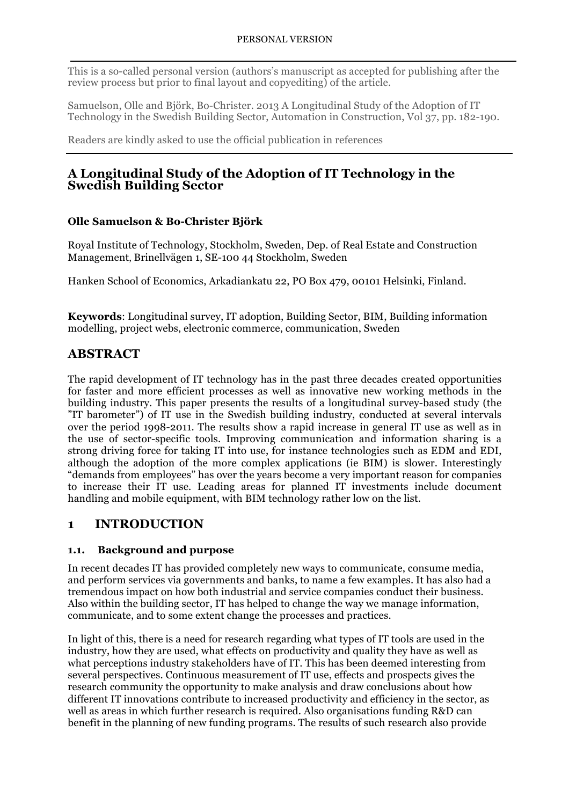This is a so-called personal version (authors's manuscript as accepted for publishing after the review process but prior to final layout and copyediting) of the article.

Samuelson, Olle and Björk, Bo-Christer. 2013 A Longitudinal Study of the Adoption of IT Technology in the Swedish Building Sector, Automation in Construction, Vol 37, pp. 182-190.

Readers are kindly asked to use the official publication in references

## **A Longitudinal Study of the Adoption of IT Technology in the Swedish Building Sector**

## **Olle Samuelson & Bo-Christer Björk**

Royal Institute of Technology, Stockholm, Sweden, Dep. of Real Estate and Construction Management, Brinellvägen 1, SE-100 44 Stockholm, Sweden

Hanken School of Economics, Arkadiankatu 22, PO Box 479, 00101 Helsinki, Finland.

**Keywords**: Longitudinal survey, IT adoption, Building Sector, BIM, Building information modelling, project webs, electronic commerce, communication, Sweden

## **ABSTRACT**

The rapid development of IT technology has in the past three decades created opportunities for faster and more efficient processes as well as innovative new working methods in the building industry. This paper presents the results of a longitudinal survey-based study (the "IT barometer") of IT use in the Swedish building industry, conducted at several intervals over the period 1998-2011. The results show a rapid increase in general IT use as well as in the use of sector-specific tools. Improving communication and information sharing is a strong driving force for taking IT into use, for instance technologies such as EDM and EDI, although the adoption of the more complex applications (ie BIM) is slower. Interestingly "demands from employees" has over the years become a very important reason for companies to increase their IT use. Leading areas for planned IT investments include document handling and mobile equipment, with BIM technology rather low on the list.

## **1 INTRODUCTION**

## **1.1. Background and purpose**

In recent decades IT has provided completely new ways to communicate, consume media, and perform services via governments and banks, to name a few examples. It has also had a tremendous impact on how both industrial and service companies conduct their business. Also within the building sector, IT has helped to change the way we manage information, communicate, and to some extent change the processes and practices.

In light of this, there is a need for research regarding what types of IT tools are used in the industry, how they are used, what effects on productivity and quality they have as well as what perceptions industry stakeholders have of IT. This has been deemed interesting from several perspectives. Continuous measurement of IT use, effects and prospects gives the research community the opportunity to make analysis and draw conclusions about how different IT innovations contribute to increased productivity and efficiency in the sector, as well as areas in which further research is required. Also organisations funding R&D can benefit in the planning of new funding programs. The results of such research also provide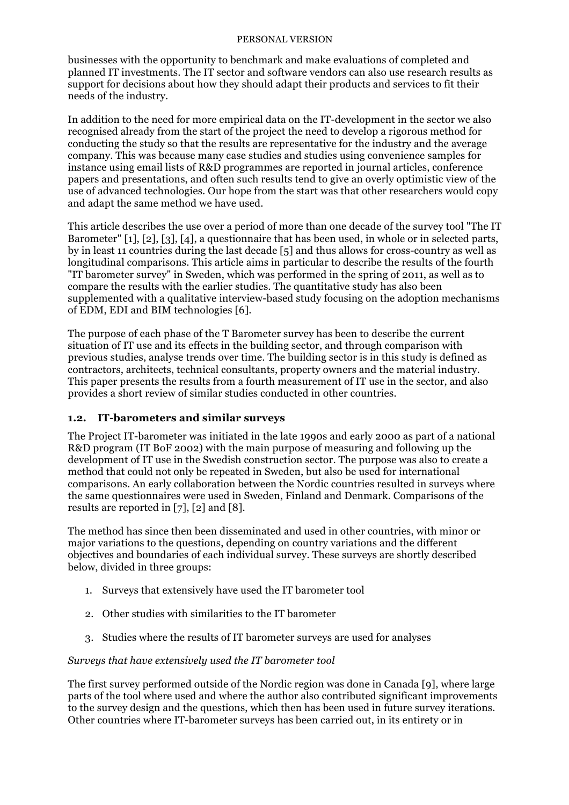businesses with the opportunity to benchmark and make evaluations of completed and planned IT investments. The IT sector and software vendors can also use research results as support for decisions about how they should adapt their products and services to fit their needs of the industry.

In addition to the need for more empirical data on the IT-development in the sector we also recognised already from the start of the project the need to develop a rigorous method for conducting the study so that the results are representative for the industry and the average company. This was because many case studies and studies using convenience samples for instance using email lists of R&D programmes are reported in journal articles, conference papers and presentations, and often such results tend to give an overly optimistic view of the use of advanced technologies. Our hope from the start was that other researchers would copy and adapt the same method we have used.

This article describes the use over a period of more than one decade of the survey tool "The IT Barometer" [1], [2], [3], [4], a questionnaire that has been used, in whole or in selected parts, by in least 11 countries during the last decade [5] and thus allows for cross-country as well as longitudinal comparisons. This article aims in particular to describe the results of the fourth "IT barometer survey" in Sweden, which was performed in the spring of 2011, as well as to compare the results with the earlier studies. The quantitative study has also been supplemented with a qualitative interview-based study focusing on the adoption mechanisms of EDM, EDI and BIM technologies [6].

The purpose of each phase of the T Barometer survey has been to describe the current situation of IT use and its effects in the building sector, and through comparison with previous studies, analyse trends over time. The building sector is in this study is defined as contractors, architects, technical consultants, property owners and the material industry. This paper presents the results from a fourth measurement of IT use in the sector, and also provides a short review of similar studies conducted in other countries.

## **1.2. IT-barometers and similar surveys**

The Project IT-barometer was initiated in the late 1990s and early 2000 as part of a national R&D program (IT BoF 2002) with the main purpose of measuring and following up the development of IT use in the Swedish construction sector. The purpose was also to create a method that could not only be repeated in Sweden, but also be used for international comparisons. An early collaboration between the Nordic countries resulted in surveys where the same questionnaires were used in Sweden, Finland and Denmark. Comparisons of the results are reported in [7], [2] and [8].

The method has since then been disseminated and used in other countries, with minor or major variations to the questions, depending on country variations and the different objectives and boundaries of each individual survey. These surveys are shortly described below, divided in three groups:

- 1. Surveys that extensively have used the IT barometer tool
- 2. Other studies with similarities to the IT barometer
- 3. Studies where the results of IT barometer surveys are used for analyses

## *Surveys that have extensively used the IT barometer tool*

The first survey performed outside of the Nordic region was done in Canada [9], where large parts of the tool where used and where the author also contributed significant improvements to the survey design and the questions, which then has been used in future survey iterations. Other countries where IT-barometer surveys has been carried out, in its entirety or in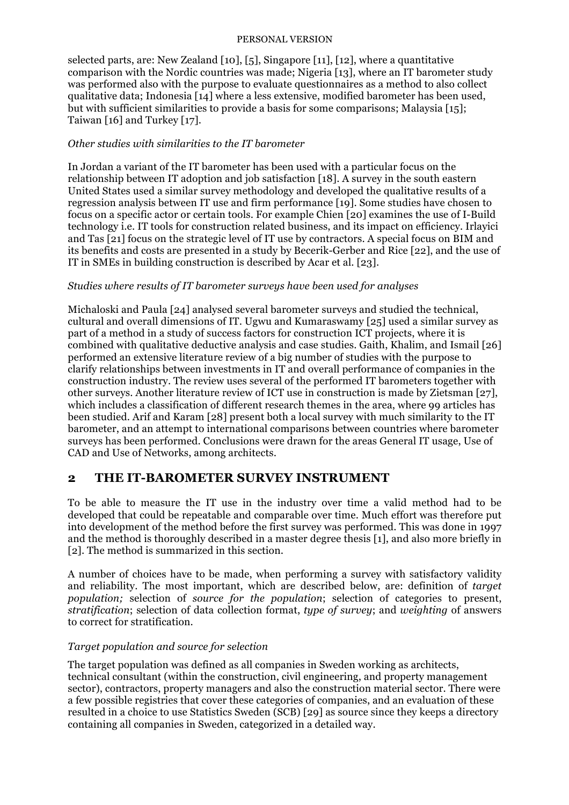selected parts, are: New Zealand [10], [5], Singapore [11], [12], where a quantitative comparison with the Nordic countries was made; Nigeria [13], where an IT barometer study was performed also with the purpose to evaluate questionnaires as a method to also collect qualitative data; Indonesia [14] where a less extensive, modified barometer has been used, but with sufficient similarities to provide a basis for some comparisons; Malaysia [15]; Taiwan [16] and Turkey [17].

## *Other studies with similarities to the IT barometer*

In Jordan a variant of the IT barometer has been used with a particular focus on the relationship between IT adoption and job satisfaction [18]. A survey in the south eastern United States used a similar survey methodology and developed the qualitative results of a regression analysis between IT use and firm performance [19]. Some studies have chosen to focus on a specific actor or certain tools. For example Chien [20] examines the use of I-Build technology i.e. IT tools for construction related business, and its impact on efficiency. Irlayici and Tas [21] focus on the strategic level of IT use by contractors. A special focus on BIM and its benefits and costs are presented in a study by Becerik-Gerber and Rice [22], and the use of IT in SMEs in building construction is described by Acar et al. [23].

## *Studies where results of IT barometer surveys have been used for analyses*

Michaloski and Paula [24] analysed several barometer surveys and studied the technical, cultural and overall dimensions of IT. Ugwu and Kumaraswamy [25] used a similar survey as part of a method in a study of success factors for construction ICT projects, where it is combined with qualitative deductive analysis and case studies. Gaith, Khalim, and Ismail [26] performed an extensive literature review of a big number of studies with the purpose to clarify relationships between investments in IT and overall performance of companies in the construction industry. The review uses several of the performed IT barometers together with other surveys. Another literature review of ICT use in construction is made by Zietsman [27], which includes a classification of different research themes in the area, where 99 articles has been studied. Arif and Karam [28] present both a local survey with much similarity to the IT barometer, and an attempt to international comparisons between countries where barometer surveys has been performed. Conclusions were drawn for the areas General IT usage, Use of CAD and Use of Networks, among architects.

## **2 THE IT-BAROMETER SURVEY INSTRUMENT**

To be able to measure the IT use in the industry over time a valid method had to be developed that could be repeatable and comparable over time. Much effort was therefore put into development of the method before the first survey was performed. This was done in 1997 and the method is thoroughly described in a master degree thesis [1], and also more briefly in [2]. The method is summarized in this section.

A number of choices have to be made, when performing a survey with satisfactory validity and reliability. The most important, which are described below, are: definition of *target population;* selection of *source for the population*; selection of categories to present, *stratification*; selection of data collection format, *type of survey*; and *weighting* of answers to correct for stratification.

## *Target population and source for selection*

The target population was defined as all companies in Sweden working as architects, technical consultant (within the construction, civil engineering, and property management sector), contractors, property managers and also the construction material sector. There were a few possible registries that cover these categories of companies, and an evaluation of these resulted in a choice to use Statistics Sweden (SCB) [29] as source since they keeps a directory containing all companies in Sweden, categorized in a detailed way.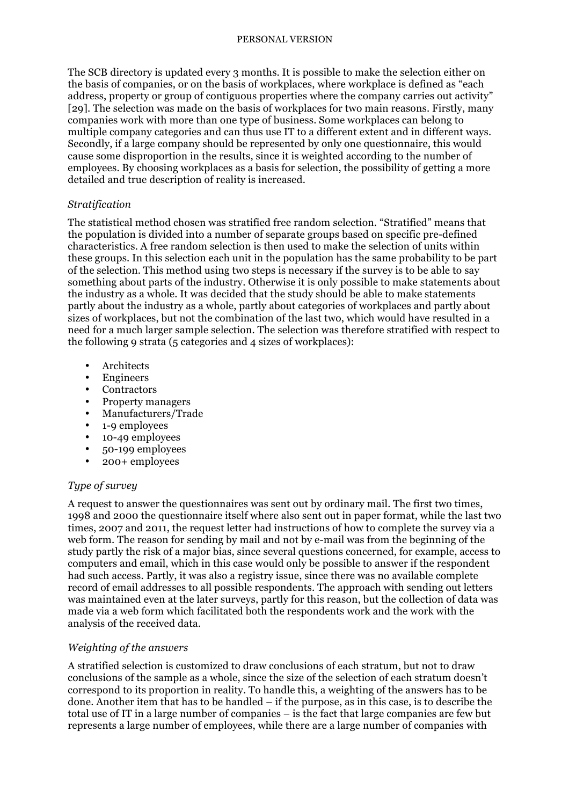The SCB directory is updated every 3 months. It is possible to make the selection either on the basis of companies, or on the basis of workplaces, where workplace is defined as "each address, property or group of contiguous properties where the company carries out activity" [29]. The selection was made on the basis of workplaces for two main reasons. Firstly, many companies work with more than one type of business. Some workplaces can belong to multiple company categories and can thus use IT to a different extent and in different ways. Secondly, if a large company should be represented by only one questionnaire, this would cause some disproportion in the results, since it is weighted according to the number of employees. By choosing workplaces as a basis for selection, the possibility of getting a more detailed and true description of reality is increased.

## *Stratification*

The statistical method chosen was stratified free random selection. "Stratified" means that the population is divided into a number of separate groups based on specific pre-defined characteristics. A free random selection is then used to make the selection of units within these groups. In this selection each unit in the population has the same probability to be part of the selection. This method using two steps is necessary if the survey is to be able to say something about parts of the industry. Otherwise it is only possible to make statements about the industry as a whole. It was decided that the study should be able to make statements partly about the industry as a whole, partly about categories of workplaces and partly about sizes of workplaces, but not the combination of the last two, which would have resulted in a need for a much larger sample selection. The selection was therefore stratified with respect to the following 9 strata (5 categories and 4 sizes of workplaces):

- **Architects**
- Engineers
- **Contractors**
- Property managers<br>• Manufacturers/Tra
- Manufacturers/Trade
- 1-9 employees
- 10-49 employees
- 50-199 employees
- 200+ employees

### *Type of survey*

A request to answer the questionnaires was sent out by ordinary mail. The first two times, 1998 and 2000 the questionnaire itself where also sent out in paper format, while the last two times, 2007 and 2011, the request letter had instructions of how to complete the survey via a web form. The reason for sending by mail and not by e-mail was from the beginning of the study partly the risk of a major bias, since several questions concerned, for example, access to computers and email, which in this case would only be possible to answer if the respondent had such access. Partly, it was also a registry issue, since there was no available complete record of email addresses to all possible respondents. The approach with sending out letters was maintained even at the later surveys, partly for this reason, but the collection of data was made via a web form which facilitated both the respondents work and the work with the analysis of the received data.

## *Weighting of the answers*

A stratified selection is customized to draw conclusions of each stratum, but not to draw conclusions of the sample as a whole, since the size of the selection of each stratum doesn't correspond to its proportion in reality. To handle this, a weighting of the answers has to be done. Another item that has to be handled – if the purpose, as in this case, is to describe the total use of IT in a large number of companies – is the fact that large companies are few but represents a large number of employees, while there are a large number of companies with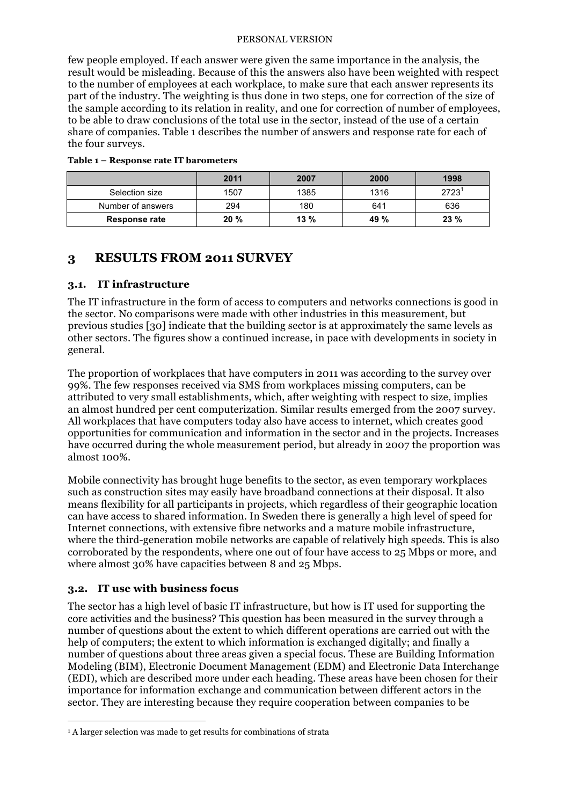few people employed. If each answer were given the same importance in the analysis, the result would be misleading. Because of this the answers also have been weighted with respect to the number of employees at each workplace, to make sure that each answer represents its part of the industry. The weighting is thus done in two steps, one for correction of the size of the sample according to its relation in reality, and one for correction of number of employees, to be able to draw conclusions of the total use in the sector, instead of the use of a certain share of companies. Table 1 describes the number of answers and response rate for each of the four surveys.

|                   | 2011 | 2007    | 2000 | 1998           |
|-------------------|------|---------|------|----------------|
| Selection size    | 1507 | 1385    | 1316 | $2723^{\circ}$ |
| Number of answers | 294  | 180     | 641  | 636            |
| Response rate     | 20%  | $13 \%$ | 49 % | 23%            |

#### **Table 1 – Response rate IT barometers**

## **3 RESULTS FROM 2011 SURVEY**

## **3.1. IT infrastructure**

The IT infrastructure in the form of access to computers and networks connections is good in the sector. No comparisons were made with other industries in this measurement, but previous studies [30] indicate that the building sector is at approximately the same levels as other sectors. The figures show a continued increase, in pace with developments in society in general.

The proportion of workplaces that have computers in 2011 was according to the survey over 99%. The few responses received via SMS from workplaces missing computers, can be attributed to very small establishments, which, after weighting with respect to size, implies an almost hundred per cent computerization. Similar results emerged from the 2007 survey. All workplaces that have computers today also have access to internet, which creates good opportunities for communication and information in the sector and in the projects. Increases have occurred during the whole measurement period, but already in 2007 the proportion was almost 100%.

Mobile connectivity has brought huge benefits to the sector, as even temporary workplaces such as construction sites may easily have broadband connections at their disposal. It also means flexibility for all participants in projects, which regardless of their geographic location can have access to shared information. In Sweden there is generally a high level of speed for Internet connections, with extensive fibre networks and a mature mobile infrastructure, where the third-generation mobile networks are capable of relatively high speeds. This is also corroborated by the respondents, where one out of four have access to 25 Mbps or more, and where almost 30% have capacities between 8 and 25 Mbps.

## **3.2. IT use with business focus**

The sector has a high level of basic IT infrastructure, but how is IT used for supporting the core activities and the business? This question has been measured in the survey through a number of questions about the extent to which different operations are carried out with the help of computers; the extent to which information is exchanged digitally; and finally a number of questions about three areas given a special focus. These are Building Information Modeling (BIM), Electronic Document Management (EDM) and Electronic Data Interchange (EDI), which are described more under each heading. These areas have been chosen for their importance for information exchange and communication between different actors in the sector. They are interesting because they require cooperation between companies to be

<sup>&</sup>lt;sup>1</sup> A larger selection was made to get results for combinations of strata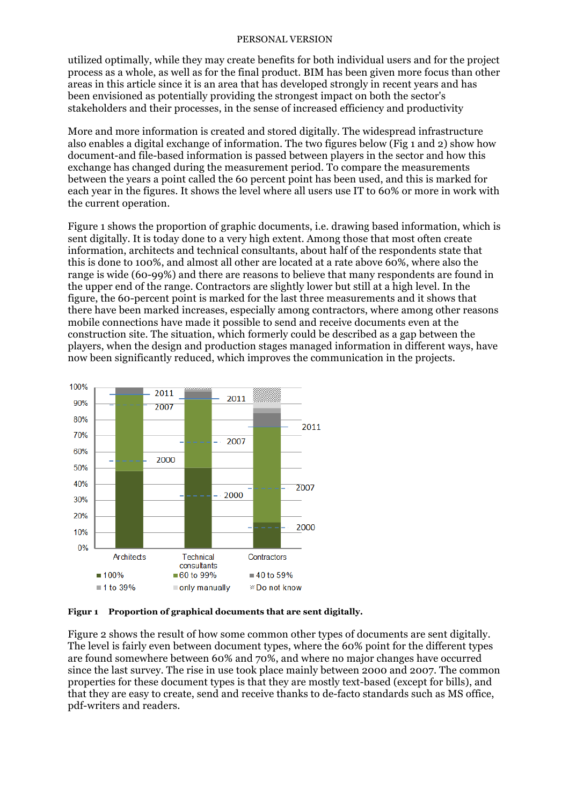utilized optimally, while they may create benefits for both individual users and for the project process as a whole, as well as for the final product. BIM has been given more focus than other areas in this article since it is an area that has developed strongly in recent years and has been envisioned as potentially providing the strongest impact on both the sector's stakeholders and their processes, in the sense of increased efficiency and productivity

More and more information is created and stored digitally. The widespread infrastructure also enables a digital exchange of information. The two figures below (Fig 1 and 2) show how document-and file-based information is passed between players in the sector and how this exchange has changed during the measurement period. To compare the measurements between the years a point called the 60 percent point has been used, and this is marked for each year in the figures. It shows the level where all users use IT to 60% or more in work with the current operation.

Figure 1 shows the proportion of graphic documents, i.e. drawing based information, which is sent digitally. It is today done to a very high extent. Among those that most often create information, architects and technical consultants, about half of the respondents state that this is done to 100%, and almost all other are located at a rate above 60%, where also the range is wide (60-99%) and there are reasons to believe that many respondents are found in the upper end of the range. Contractors are slightly lower but still at a high level. In the figure, the 60-percent point is marked for the last three measurements and it shows that there have been marked increases, especially among contractors, where among other reasons mobile connections have made it possible to send and receive documents even at the construction site. The situation, which formerly could be described as a gap between the players, when the design and production stages managed information in different ways, have now been significantly reduced, which improves the communication in the projects.



**Figur 1 Proportion of graphical documents that are sent digitally.** 

Figure 2 shows the result of how some common other types of documents are sent digitally. The level is fairly even between document types, where the 60% point for the different types are found somewhere between 60% and 70%, and where no major changes have occurred since the last survey. The rise in use took place mainly between 2000 and 2007. The common properties for these document types is that they are mostly text-based (except for bills), and that they are easy to create, send and receive thanks to de-facto standards such as MS office, pdf-writers and readers.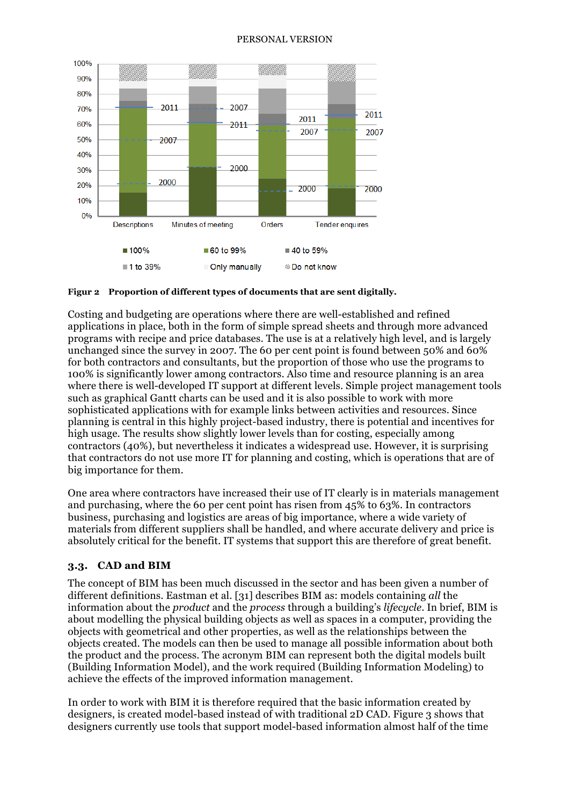

**Figur 2 Proportion of different types of documents that are sent digitally.**

Costing and budgeting are operations where there are well-established and refined applications in place, both in the form of simple spread sheets and through more advanced programs with recipe and price databases. The use is at a relatively high level, and is largely unchanged since the survey in 2007. The 60 per cent point is found between 50% and 60% for both contractors and consultants, but the proportion of those who use the programs to 100% is significantly lower among contractors. Also time and resource planning is an area where there is well-developed IT support at different levels. Simple project management tools such as graphical Gantt charts can be used and it is also possible to work with more sophisticated applications with for example links between activities and resources. Since planning is central in this highly project-based industry, there is potential and incentives for high usage. The results show slightly lower levels than for costing, especially among contractors (40%), but nevertheless it indicates a widespread use. However, it is surprising that contractors do not use more IT for planning and costing, which is operations that are of big importance for them.

One area where contractors have increased their use of IT clearly is in materials management and purchasing, where the 60 per cent point has risen from 45% to 63%. In contractors business, purchasing and logistics are areas of big importance, where a wide variety of materials from different suppliers shall be handled, and where accurate delivery and price is absolutely critical for the benefit. IT systems that support this are therefore of great benefit.

## **3.3. CAD and BIM**

The concept of BIM has been much discussed in the sector and has been given a number of different definitions. Eastman et al. [31] describes BIM as: models containing *all* the information about the *product* and the *process* through a building's *lifecycle*. In brief, BIM is about modelling the physical building objects as well as spaces in a computer, providing the objects with geometrical and other properties, as well as the relationships between the objects created. The models can then be used to manage all possible information about both the product and the process. The acronym BIM can represent both the digital models built (Building Information Model), and the work required (Building Information Modeling) to achieve the effects of the improved information management.

In order to work with BIM it is therefore required that the basic information created by designers, is created model-based instead of with traditional 2D CAD. Figure 3 shows that designers currently use tools that support model-based information almost half of the time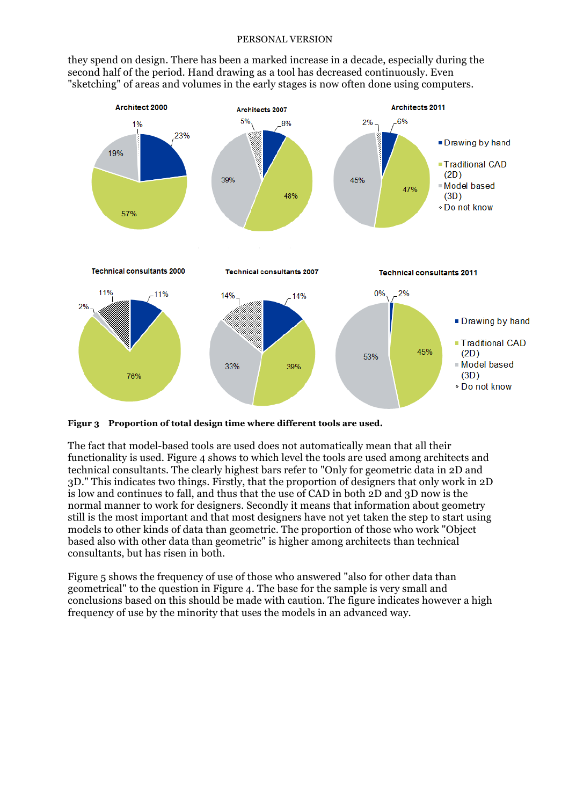they spend on design. There has been a marked increase in a decade, especially during the second half of the period. Hand drawing as a tool has decreased continuously. Even "sketching" of areas and volumes in the early stages is now often done using computers.



**Figur 3 Proportion of total design time where different tools are used.**

The fact that model-based tools are used does not automatically mean that all their functionality is used. Figure 4 shows to which level the tools are used among architects and technical consultants. The clearly highest bars refer to "Only for geometric data in 2D and 3D." This indicates two things. Firstly, that the proportion of designers that only work in 2D is low and continues to fall, and thus that the use of CAD in both 2D and 3D now is the normal manner to work for designers. Secondly it means that information about geometry still is the most important and that most designers have not yet taken the step to start using models to other kinds of data than geometric. The proportion of those who work "Object based also with other data than geometric" is higher among architects than technical consultants, but has risen in both.

Figure 5 shows the frequency of use of those who answered "also for other data than geometrical" to the question in Figure 4. The base for the sample is very small and conclusions based on this should be made with caution. The figure indicates however a high frequency of use by the minority that uses the models in an advanced way.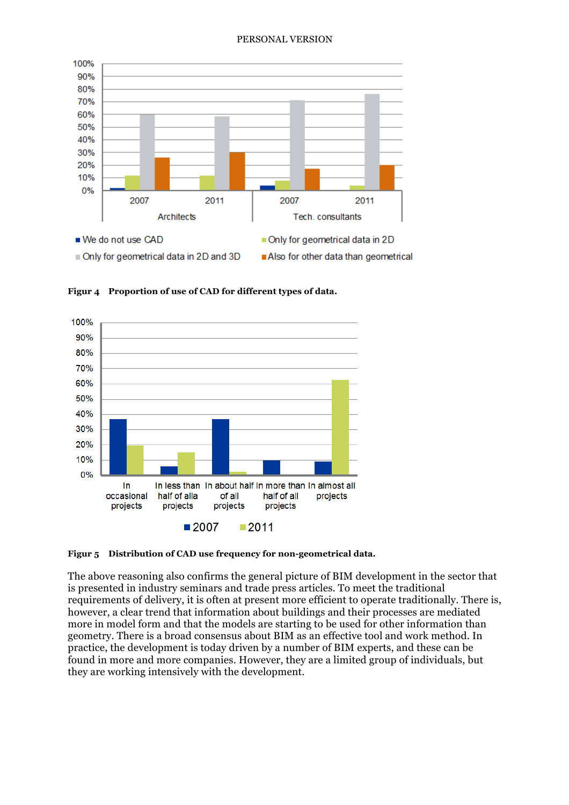

**Figur 4 Proportion of use of CAD for different types of data.**



**Figur 5 Distribution of CAD use frequency for non-geometrical data.**

The above reasoning also confirms the general picture of BIM development in the sector that is presented in industry seminars and trade press articles. To meet the traditional requirements of delivery, it is often at present more efficient to operate traditionally. There is, however, a clear trend that information about buildings and their processes are mediated more in model form and that the models are starting to be used for other information than geometry. There is a broad consensus about BIM as an effective tool and work method. In practice, the development is today driven by a number of BIM experts, and these can be found in more and more companies. However, they are a limited group of individuals, but they are working intensively with the development.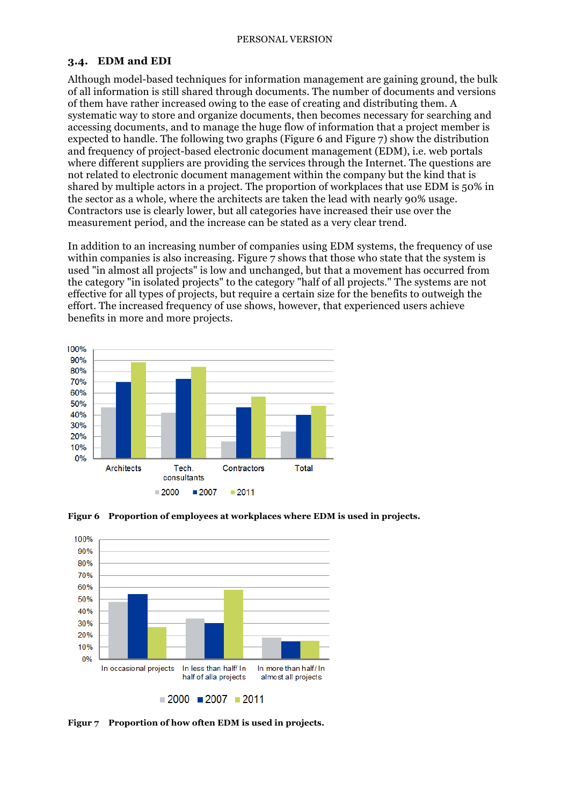### **3.4. EDM and EDI**

Although model-based techniques for information management are gaining ground, the bulk of all information is still shared through documents. The number of documents and versions of them have rather increased owing to the ease of creating and distributing them. A systematic way to store and organize documents, then becomes necessary for searching and accessing documents, and to manage the huge flow of information that a project member is expected to handle. The following two graphs (Figure 6 and Figure 7) show the distribution and frequency of project-based electronic document management (EDM), i.e. web portals where different suppliers are providing the services through the Internet. The questions are not related to electronic document management within the company but the kind that is shared by multiple actors in a project. The proportion of workplaces that use EDM is 50% in the sector as a whole, where the architects are taken the lead with nearly 90% usage. Contractors use is clearly lower, but all categories have increased their use over the measurement period, and the increase can be stated as a very clear trend.

In addition to an increasing number of companies using EDM systems, the frequency of use within companies is also increasing. Figure 7 shows that those who state that the system is used "in almost all projects" is low and unchanged, but that a movement has occurred from the category "in isolated projects" to the category "half of all projects." The systems are not effective for all types of projects, but require a certain size for the benefits to outweigh the effort. The increased frequency of use shows, however, that experienced users achieve benefits in more and more projects.







**Figur 7 Proportion of how often EDM is used in projects.**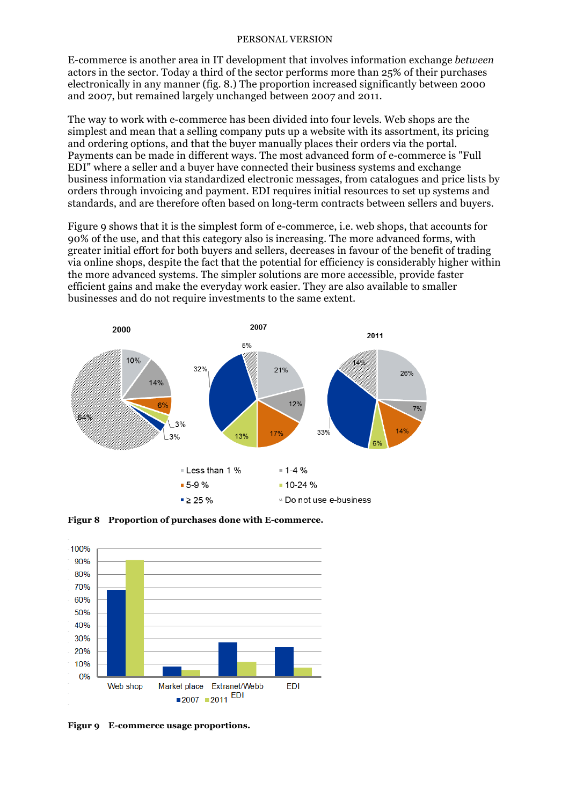E-commerce is another area in IT development that involves information exchange *between* actors in the sector. Today a third of the sector performs more than 25% of their purchases electronically in any manner (fig. 8.) The proportion increased significantly between 2000 and 2007, but remained largely unchanged between 2007 and 2011.

The way to work with e-commerce has been divided into four levels. Web shops are the simplest and mean that a selling company puts up a website with its assortment, its pricing and ordering options, and that the buyer manually places their orders via the portal. Payments can be made in different ways. The most advanced form of e-commerce is "Full EDI" where a seller and a buyer have connected their business systems and exchange business information via standardized electronic messages, from catalogues and price lists by orders through invoicing and payment. EDI requires initial resources to set up systems and standards, and are therefore often based on long-term contracts between sellers and buyers.

Figure 9 shows that it is the simplest form of e-commerce, i.e. web shops, that accounts for 90% of the use, and that this category also is increasing. The more advanced forms, with greater initial effort for both buyers and sellers, decreases in favour of the benefit of trading via online shops, despite the fact that the potential for efficiency is considerably higher within the more advanced systems. The simpler solutions are more accessible, provide faster efficient gains and make the everyday work easier. They are also available to smaller businesses and do not require investments to the same extent.



**Figur 8 Proportion of purchases done with E-commerce.**



**Figur 9 E-commerce usage proportions.**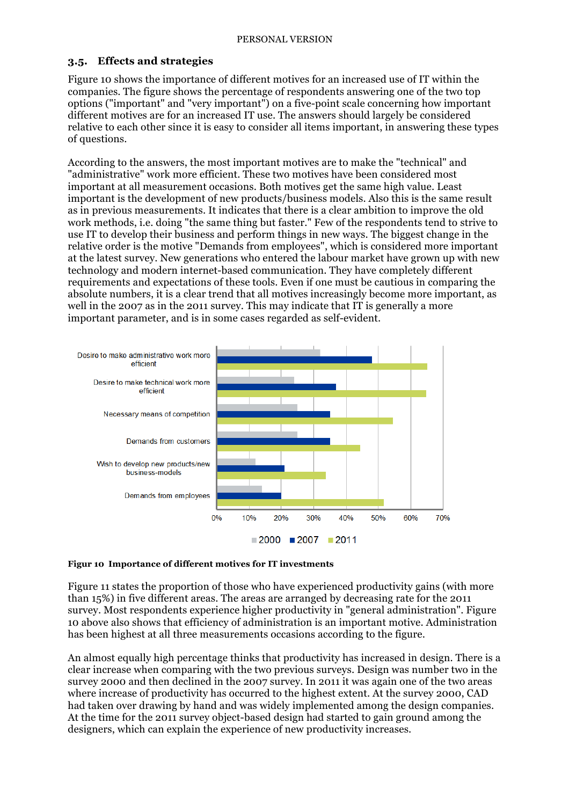## **3.5. Effects and strategies**

Figure 10 shows the importance of different motives for an increased use of IT within the companies. The figure shows the percentage of respondents answering one of the two top options ("important" and "very important") on a five-point scale concerning how important different motives are for an increased IT use. The answers should largely be considered relative to each other since it is easy to consider all items important, in answering these types of questions.

According to the answers, the most important motives are to make the "technical" and "administrative" work more efficient. These two motives have been considered most important at all measurement occasions. Both motives get the same high value. Least important is the development of new products/business models. Also this is the same result as in previous measurements. It indicates that there is a clear ambition to improve the old work methods, i.e. doing "the same thing but faster." Few of the respondents tend to strive to use IT to develop their business and perform things in new ways. The biggest change in the relative order is the motive "Demands from employees", which is considered more important at the latest survey. New generations who entered the labour market have grown up with new technology and modern internet-based communication. They have completely different requirements and expectations of these tools. Even if one must be cautious in comparing the absolute numbers, it is a clear trend that all motives increasingly become more important, as well in the 2007 as in the 2011 survey. This may indicate that IT is generally a more important parameter, and is in some cases regarded as self-evident.



### **Figur 10 Importance of different motives for IT investments**

Figure 11 states the proportion of those who have experienced productivity gains (with more than 15%) in five different areas. The areas are arranged by decreasing rate for the 2011 survey. Most respondents experience higher productivity in "general administration". Figure 10 above also shows that efficiency of administration is an important motive. Administration has been highest at all three measurements occasions according to the figure.

An almost equally high percentage thinks that productivity has increased in design. There is a clear increase when comparing with the two previous surveys. Design was number two in the survey 2000 and then declined in the 2007 survey. In 2011 it was again one of the two areas where increase of productivity has occurred to the highest extent. At the survey 2000, CAD had taken over drawing by hand and was widely implemented among the design companies. At the time for the 2011 survey object-based design had started to gain ground among the designers, which can explain the experience of new productivity increases.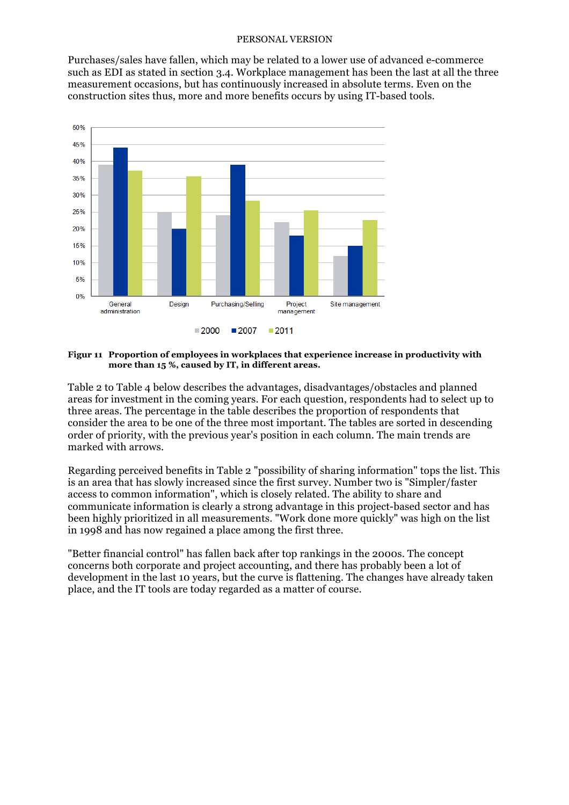Purchases/sales have fallen, which may be related to a lower use of advanced e-commerce such as EDI as stated in section 3.4. Workplace management has been the last at all the three measurement occasions, but has continuously increased in absolute terms. Even on the construction sites thus, more and more benefits occurs by using IT-based tools.



#### **Figur 11 Proportion of employees in workplaces that experience increase in productivity with more than 15 %, caused by IT, in different areas.**

Table 2 to Table 4 below describes the advantages, disadvantages/obstacles and planned areas for investment in the coming years. For each question, respondents had to select up to three areas. The percentage in the table describes the proportion of respondents that consider the area to be one of the three most important. The tables are sorted in descending order of priority, with the previous year's position in each column. The main trends are marked with arrows.

Regarding perceived benefits in Table 2 "possibility of sharing information" tops the list. This is an area that has slowly increased since the first survey. Number two is "Simpler/faster access to common information", which is closely related. The ability to share and communicate information is clearly a strong advantage in this project-based sector and has been highly prioritized in all measurements. "Work done more quickly" was high on the list in 1998 and has now regained a place among the first three.

"Better financial control" has fallen back after top rankings in the 2000s. The concept concerns both corporate and project accounting, and there has probably been a lot of development in the last 10 years, but the curve is flattening. The changes have already taken place, and the IT tools are today regarded as a matter of course.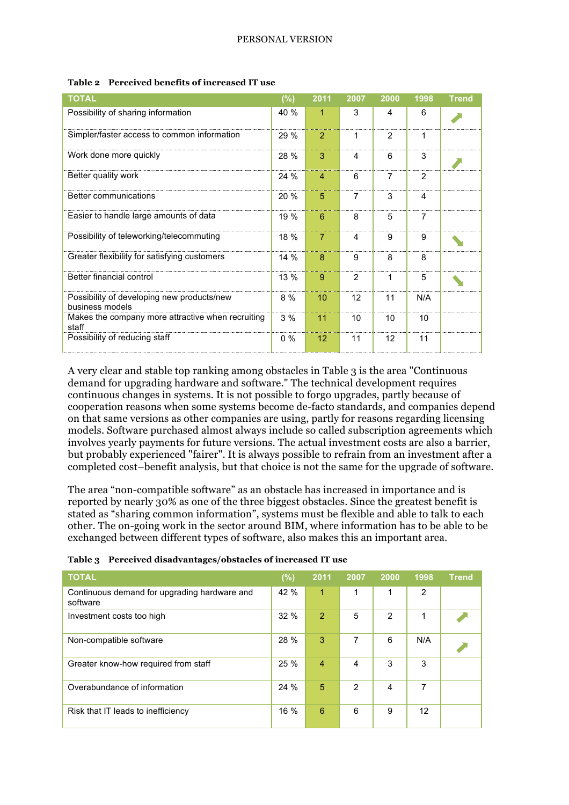| <b>TOTAL</b>                                                  | $(\%)$ | 2011           | 2007           | 2000           | 1998           | <b>Trend</b> |
|---------------------------------------------------------------|--------|----------------|----------------|----------------|----------------|--------------|
| Possibility of sharing information                            | 40 %   | 1              | 3              | 4              | 6              |              |
| Simpler/faster access to common information                   | 29 %   | $\overline{2}$ | 1              | $\overline{2}$ | 1              |              |
| Work done more quickly                                        | 28 %   | 3              | 4              | 6              | 3              |              |
| Better quality work                                           | 24%    | $\overline{4}$ | 6              | $\overline{7}$ | 2              |              |
| Better communications                                         | 20 %   | 5              | $\overline{7}$ | 3              | 4              |              |
| Easier to handle large amounts of data                        | 19 %   | 6              | 8              | 5              | $\overline{7}$ |              |
| Possibility of teleworking/telecommuting                      | 18 %   | $\overline{7}$ | 4              | 9              | 9              |              |
| Greater flexibility for satisfying customers                  | 14%    | 8              | 9              | 8              | 8              |              |
| Better financial control                                      | $13\%$ | 9              | 2              | 1              | 5              |              |
| Possibility of developing new products/new<br>business models | 8 %    | 10             | 12             | 11             | N/A            |              |
| Makes the company more attractive when recruiting<br>staff    | 3%     | 11             | 10             | 10             | 10             |              |
| Possibility of reducing staff                                 | $0\%$  | 12             | 11             | 12             | 11             |              |

#### **Table 2 Perceived benefits of increased IT use**

A very clear and stable top ranking among obstacles in Table 3 is the area "Continuous demand for upgrading hardware and software." The technical development requires continuous changes in systems. It is not possible to forgo upgrades, partly because of cooperation reasons when some systems become de-facto standards, and companies depend on that same versions as other companies are using, partly for reasons regarding licensing models. Software purchased almost always include so called subscription agreements which involves yearly payments for future versions. The actual investment costs are also a barrier, but probably experienced "fairer". It is always possible to refrain from an investment after a completed cost–benefit analysis, but that choice is not the same for the upgrade of software.

The area "non-compatible software" as an obstacle has increased in importance and is reported by nearly 30% as one of the three biggest obstacles. Since the greatest benefit is stated as "sharing common information", systems must be flexible and able to talk to each other. The on-going work in the sector around BIM, where information has to be able to be exchanged between different types of software, also makes this an important area.

|  |  |  |  | Table 3 Perceived disadvantages/obstacles of increased IT use |  |
|--|--|--|--|---------------------------------------------------------------|--|
|--|--|--|--|---------------------------------------------------------------|--|

| <b>TOTAL</b>                                             | (%)  | 2011           | 2007           | 2000           | 1998           | <b>Trend</b> |
|----------------------------------------------------------|------|----------------|----------------|----------------|----------------|--------------|
| Continuous demand for upgrading hardware and<br>software | 42 % | 1              | 1              | 1              | $\overline{2}$ |              |
| Investment costs too high                                | 32%  | $\overline{2}$ | 5              | $\overline{2}$ | 1              |              |
| Non-compatible software                                  | 28 % | 3              | 7              | 6              | N/A            |              |
| Greater know-how required from staff                     | 25 % | $\overline{4}$ | 4              | 3              | 3              |              |
| Overabundance of information                             | 24 % | 5              | $\overline{2}$ | 4              | 7              |              |
| Risk that IT leads to inefficiency                       | 16 % | 6              | 6              | 9              | 12             |              |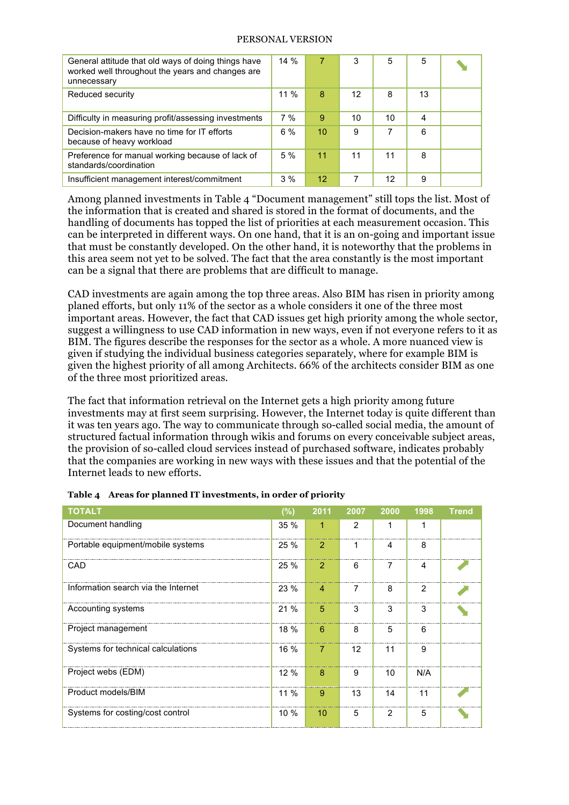| General attitude that old ways of doing things have<br>worked well throughout the years and changes are<br>unnecessary | 14%   | 7  | 3  | 5  | 5  |  |
|------------------------------------------------------------------------------------------------------------------------|-------|----|----|----|----|--|
| Reduced security                                                                                                       | 11 %  | 8  | 12 | 8  | 13 |  |
| Difficulty in measuring profit/assessing investments                                                                   | 7%    | 9  | 10 | 10 | 4  |  |
| Decision-makers have no time for IT efforts<br>because of heavy workload                                               | $6\%$ | 10 | 9  |    | 6  |  |
| Preference for manual working because of lack of<br>standards/coordination                                             | 5%    | 11 | 11 | 11 | 8  |  |
| Insufficient management interest/commitment                                                                            | 3%    | 12 | 7  | 12 | 9  |  |

Among planned investments in Table 4 "Document management" still tops the list. Most of the information that is created and shared is stored in the format of documents, and the handling of documents has topped the list of priorities at each measurement occasion. This can be interpreted in different ways. On one hand, that it is an on-going and important issue that must be constantly developed. On the other hand, it is noteworthy that the problems in this area seem not yet to be solved. The fact that the area constantly is the most important can be a signal that there are problems that are difficult to manage.

CAD investments are again among the top three areas. Also BIM has risen in priority among planed efforts, but only 11% of the sector as a whole considers it one of the three most important areas. However, the fact that CAD issues get high priority among the whole sector, suggest a willingness to use CAD information in new ways, even if not everyone refers to it as BIM. The figures describe the responses for the sector as a whole. A more nuanced view is given if studying the individual business categories separately, where for example BIM is given the highest priority of all among Architects. 66% of the architects consider BIM as one of the three most prioritized areas.

The fact that information retrieval on the Internet gets a high priority among future investments may at first seem surprising. However, the Internet today is quite different than it was ten years ago. The way to communicate through so-called social media, the amount of structured factual information through wikis and forums on every conceivable subject areas, the provision of so-called cloud services instead of purchased software, indicates probably that the companies are working in new ways with these issues and that the potential of the Internet leads to new efforts.

| <b>TOTALT</b>                       | $(\%)$ | 2011           | 2007 | 2000 | 1998 | <b>Trend</b> |
|-------------------------------------|--------|----------------|------|------|------|--------------|
| Document handling                   | 35 %   | 1              | 2    | 1    | 1    |              |
| Portable equipment/mobile systems   | 25%    | 2              | 1    | 4    | 8    |              |
| CAD                                 | 25 %   | $\overline{2}$ | 6    | 7    | 4    |              |
| Information search via the Internet | 23%    | $\overline{4}$ | 7    | 8    | 2    |              |
| Accounting systems                  | 21%    | 5              | 3    | 3    | 3    |              |
| Project management                  | 18 %   | 6              | 8    | 5    | 6    |              |
| Systems for technical calculations  | $16\%$ | 7              | 12   | 11   | 9    |              |
| Project webs (EDM)                  | 12%    | 8              | 9    | 10   | N/A  |              |
| Product models/BIM                  | $11\%$ | 9              | 13   | 14   | 11   |              |
| Systems for costing/cost control    | $10\%$ | 10             | 5    | 2    | 5    |              |

|  | Table 4 Areas for planned IT investments, in order of priority |  |  |
|--|----------------------------------------------------------------|--|--|
|--|----------------------------------------------------------------|--|--|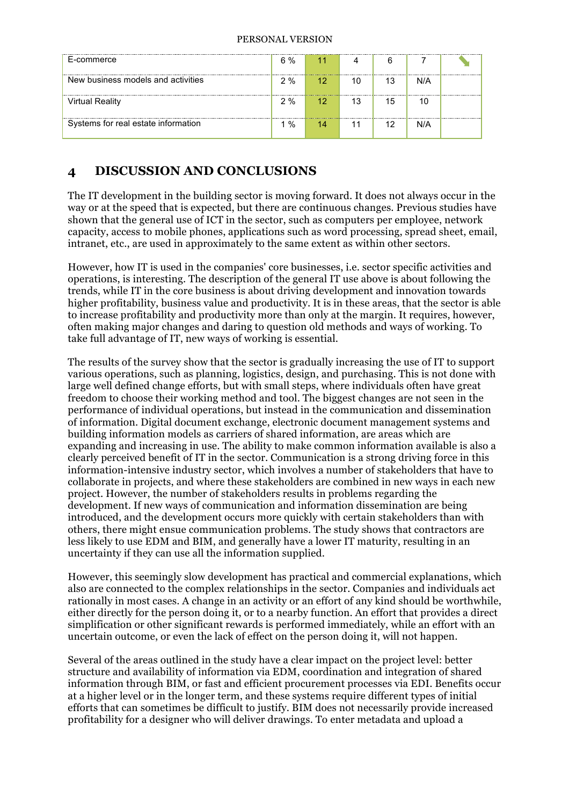| E-commerce                          | 6 % | 11              |    | 6  |     |  |
|-------------------------------------|-----|-----------------|----|----|-----|--|
| New business models and activities  | 2%  | 12 <sup>1</sup> | 10 | 13 | N/A |  |
| Virtual Reality                     | 2%  | $-12$           | 13 | 15 |     |  |
| Systems for real estate information | %   |                 | 11 | 12 | N/A |  |

# **4 DISCUSSION AND CONCLUSIONS**

The IT development in the building sector is moving forward. It does not always occur in the way or at the speed that is expected, but there are continuous changes. Previous studies have shown that the general use of ICT in the sector, such as computers per employee, network capacity, access to mobile phones, applications such as word processing, spread sheet, email, intranet, etc., are used in approximately to the same extent as within other sectors.

However, how IT is used in the companies' core businesses, i.e. sector specific activities and operations, is interesting. The description of the general IT use above is about following the trends, while IT in the core business is about driving development and innovation towards higher profitability, business value and productivity. It is in these areas, that the sector is able to increase profitability and productivity more than only at the margin. It requires, however, often making major changes and daring to question old methods and ways of working. To take full advantage of IT, new ways of working is essential.

The results of the survey show that the sector is gradually increasing the use of IT to support various operations, such as planning, logistics, design, and purchasing. This is not done with large well defined change efforts, but with small steps, where individuals often have great freedom to choose their working method and tool. The biggest changes are not seen in the performance of individual operations, but instead in the communication and dissemination of information. Digital document exchange, electronic document management systems and building information models as carriers of shared information, are areas which are expanding and increasing in use. The ability to make common information available is also a clearly perceived benefit of IT in the sector. Communication is a strong driving force in this information-intensive industry sector, which involves a number of stakeholders that have to collaborate in projects, and where these stakeholders are combined in new ways in each new project. However, the number of stakeholders results in problems regarding the development. If new ways of communication and information dissemination are being introduced, and the development occurs more quickly with certain stakeholders than with others, there might ensue communication problems. The study shows that contractors are less likely to use EDM and BIM, and generally have a lower IT maturity, resulting in an uncertainty if they can use all the information supplied.

However, this seemingly slow development has practical and commercial explanations, which also are connected to the complex relationships in the sector. Companies and individuals act rationally in most cases. A change in an activity or an effort of any kind should be worthwhile, either directly for the person doing it, or to a nearby function. An effort that provides a direct simplification or other significant rewards is performed immediately, while an effort with an uncertain outcome, or even the lack of effect on the person doing it, will not happen.

Several of the areas outlined in the study have a clear impact on the project level: better structure and availability of information via EDM, coordination and integration of shared information through BIM, or fast and efficient procurement processes via EDI. Benefits occur at a higher level or in the longer term, and these systems require different types of initial efforts that can sometimes be difficult to justify. BIM does not necessarily provide increased profitability for a designer who will deliver drawings. To enter metadata and upload a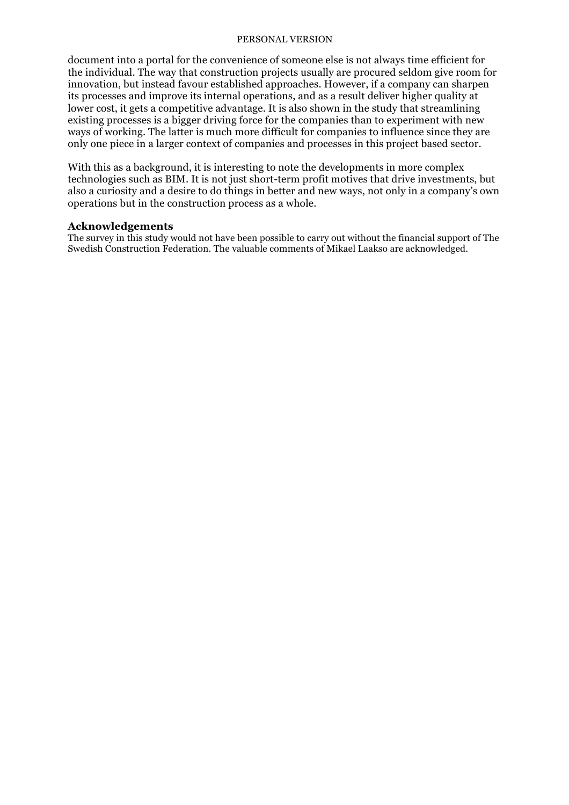document into a portal for the convenience of someone else is not always time efficient for the individual. The way that construction projects usually are procured seldom give room for innovation, but instead favour established approaches. However, if a company can sharpen its processes and improve its internal operations, and as a result deliver higher quality at lower cost, it gets a competitive advantage. It is also shown in the study that streamlining existing processes is a bigger driving force for the companies than to experiment with new ways of working. The latter is much more difficult for companies to influence since they are only one piece in a larger context of companies and processes in this project based sector.

With this as a background, it is interesting to note the developments in more complex technologies such as BIM. It is not just short-term profit motives that drive investments, but also a curiosity and a desire to do things in better and new ways, not only in a company's own operations but in the construction process as a whole.

### **Acknowledgements**

The survey in this study would not have been possible to carry out without the financial support of The Swedish Construction Federation. The valuable comments of Mikael Laakso are acknowledged.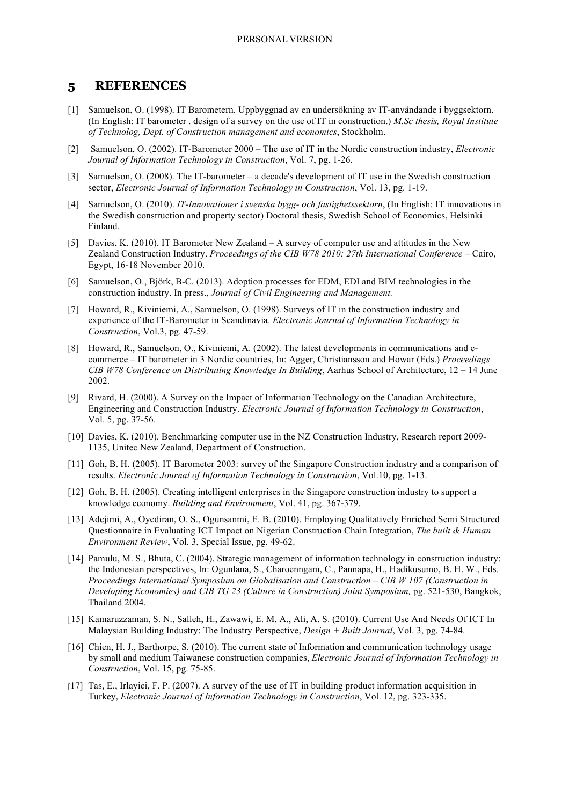## **5 REFERENCES**

- [1] Samuelson, O. (1998). IT Barometern. Uppbyggnad av en undersökning av IT-användande i byggsektorn. (In English: IT barometer . design of a survey on the use of IT in construction.) *M.Sc thesis, Royal Institute of Technolog, Dept. of Construction management and economics*, Stockholm.
- [2] Samuelson, O. (2002). IT-Barometer 2000 The use of IT in the Nordic construction industry, *Electronic Journal of Information Technology in Construction*, Vol. 7, pg. 1-26.
- [3] Samuelson, O. (2008). The IT-barometer a decade's development of IT use in the Swedish construction sector, *Electronic Journal of Information Technology in Construction*, Vol. 13, pg. 1-19.
- [4] Samuelson, O. (2010). *IT-Innovationer i svenska bygg- och fastighetssektorn*, (In English: IT innovations in the Swedish construction and property sector) Doctoral thesis, Swedish School of Economics, Helsinki Finland.
- [5] Davies, K. (2010). IT Barometer New Zealand A survey of computer use and attitudes in the New Zealand Construction Industry. *Proceedings of the CIB W78 2010: 27th International Conference* – Cairo, Egypt, 16-18 November 2010.
- [6] Samuelson, O., Björk, B-C. (2013). Adoption processes for EDM, EDI and BIM technologies in the construction industry. In press., *Journal of Civil Engineering and Management.*
- [7] Howard, R., Kiviniemi, A., Samuelson, O. (1998). Surveys of IT in the construction industry and experience of the IT-Barometer in Scandinavia. *Electronic Journal of Information Technology in Construction*, Vol.3, pg. 47-59.
- [8] Howard, R., Samuelson, O., Kiviniemi, A. (2002). The latest developments in communications and ecommerce – IT barometer in 3 Nordic countries, In: Agger, Christiansson and Howar (Eds.) *Proceedings CIB W78 Conference on Distributing Knowledge In Building*, Aarhus School of Architecture, 12 – 14 June 2002.
- [9] Rivard, H. (2000). A Survey on the Impact of Information Technology on the Canadian Architecture, Engineering and Construction Industry. *Electronic Journal of Information Technology in Construction*, Vol. 5, pg. 37-56.
- [10] Davies, K. (2010). Benchmarking computer use in the NZ Construction Industry, Research report 2009- 1135, Unitec New Zealand, Department of Construction.
- [11] Goh, B. H. (2005). IT Barometer 2003: survey of the Singapore Construction industry and a comparison of results. *Electronic Journal of Information Technology in Construction*, Vol.10, pg. 1-13.
- [12] Goh, B. H. (2005). Creating intelligent enterprises in the Singapore construction industry to support a knowledge economy. *Building and Environment*, Vol. 41, pg. 367-379.
- [13] Adejimi, A., Oyediran, O. S., Ogunsanmi, E. B. (2010). Employing Qualitatively Enriched Semi Structured Questionnaire in Evaluating ICT Impact on Nigerian Construction Chain Integration, *The built & Human Environment Review*, Vol. 3, Special Issue, pg. 49-62.
- [14] Pamulu, M. S., Bhuta, C. (2004). Strategic management of information technology in construction industry: the Indonesian perspectives, In: Ogunlana, S., Charoenngam, C., Pannapa, H., Hadikusumo, B. H. W., Eds. *Proceedings International Symposium on Globalisation and Construction – CIB W 107 (Construction in Developing Economies) and CIB TG 23 (Culture in Construction) Joint Symposium, pg. 521-530, Bangkok,* Thailand 2004.
- [15] Kamaruzzaman, S. N., Salleh, H., Zawawi, E. M. A., Ali, A. S. (2010). Current Use And Needs Of ICT In Malaysian Building Industry: The Industry Perspective, *Design + Built Journal*, Vol. 3, pg. 74-84.
- [16] Chien, H. J., Barthorpe, S. (2010). The current state of Information and communication technology usage by small and medium Taiwanese construction companies, *Electronic Journal of Information Technology in Construction*, Vol. 15, pg. 75-85.
- [17] Tas, E., Irlayici, F. P. (2007). A survey of the use of IT in building product information acquisition in Turkey, *Electronic Journal of Information Technology in Construction*, Vol. 12, pg. 323-335.